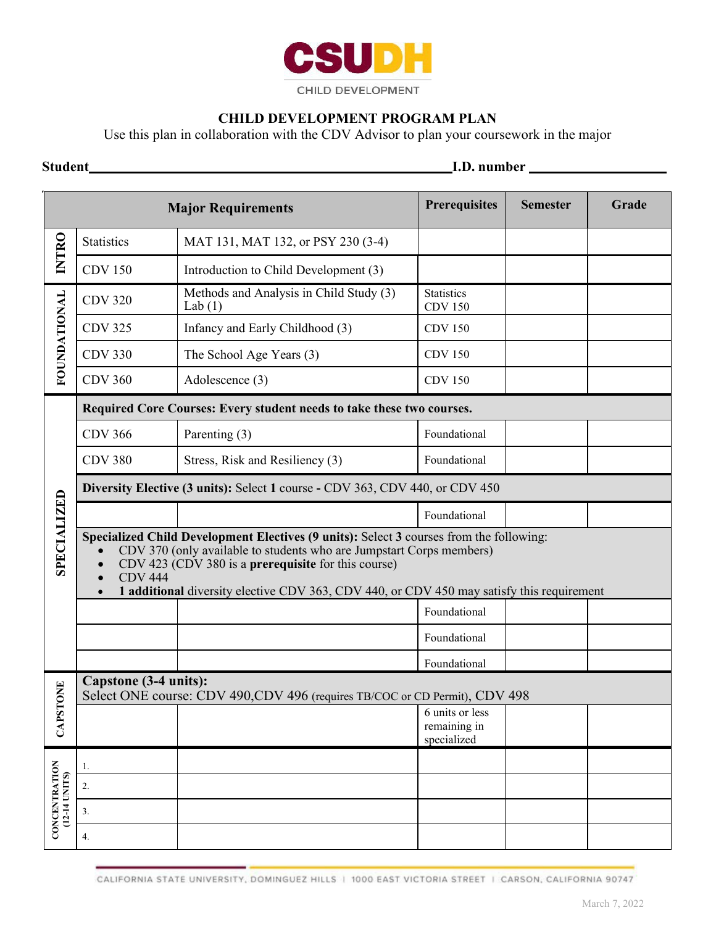

## **CHILD DEVELOPMENT PROGRAM PLAN**

Use this plan in collaboration with the CDV Advisor to plan your coursework in the major

**Student I.D. number I.D. number** 

| <b>Major Requirements</b>      |                                                                                                                                                                                                                                                                                                                                                           |                                                      | <b>Prerequisites</b>                           | <b>Semester</b> | Grade |  |
|--------------------------------|-----------------------------------------------------------------------------------------------------------------------------------------------------------------------------------------------------------------------------------------------------------------------------------------------------------------------------------------------------------|------------------------------------------------------|------------------------------------------------|-----------------|-------|--|
| <b>INTRO</b>                   | <b>Statistics</b>                                                                                                                                                                                                                                                                                                                                         | MAT 131, MAT 132, or PSY 230 (3-4)                   |                                                |                 |       |  |
|                                | <b>CDV 150</b>                                                                                                                                                                                                                                                                                                                                            | Introduction to Child Development (3)                |                                                |                 |       |  |
| <b>FOUNDATIONAL</b>            | <b>CDV 320</b>                                                                                                                                                                                                                                                                                                                                            | Methods and Analysis in Child Study (3)<br>Lab $(1)$ | <b>Statistics</b><br><b>CDV 150</b>            |                 |       |  |
|                                | <b>CDV 325</b>                                                                                                                                                                                                                                                                                                                                            | Infancy and Early Childhood (3)                      | <b>CDV 150</b>                                 |                 |       |  |
|                                | <b>CDV 330</b>                                                                                                                                                                                                                                                                                                                                            | The School Age Years (3)                             | <b>CDV 150</b>                                 |                 |       |  |
|                                | <b>CDV 360</b>                                                                                                                                                                                                                                                                                                                                            | Adolescence (3)                                      | <b>CDV 150</b>                                 |                 |       |  |
| <b>SPECIALIZED</b>             | Required Core Courses: Every student needs to take these two courses.                                                                                                                                                                                                                                                                                     |                                                      |                                                |                 |       |  |
|                                | <b>CDV 366</b>                                                                                                                                                                                                                                                                                                                                            | Parenting (3)                                        | Foundational                                   |                 |       |  |
|                                | <b>CDV 380</b>                                                                                                                                                                                                                                                                                                                                            | Stress, Risk and Resiliency (3)                      | Foundational                                   |                 |       |  |
|                                | Diversity Elective (3 units): Select 1 course - CDV 363, CDV 440, or CDV 450                                                                                                                                                                                                                                                                              |                                                      |                                                |                 |       |  |
|                                |                                                                                                                                                                                                                                                                                                                                                           |                                                      | Foundational                                   |                 |       |  |
|                                | Specialized Child Development Electives (9 units): Select 3 courses from the following:<br>CDV 370 (only available to students who are Jumpstart Corps members)<br>CDV 423 (CDV 380 is a <b>prerequisite</b> for this course)<br><b>CDV 444</b><br>$\bullet$<br>1 additional diversity elective CDV 363, CDV 440, or CDV 450 may satisfy this requirement |                                                      |                                                |                 |       |  |
|                                |                                                                                                                                                                                                                                                                                                                                                           |                                                      | Foundational                                   |                 |       |  |
|                                |                                                                                                                                                                                                                                                                                                                                                           |                                                      | Foundational                                   |                 |       |  |
|                                |                                                                                                                                                                                                                                                                                                                                                           |                                                      | Foundational                                   |                 |       |  |
| TONE<br>CAPS'                  | Capstone (3-4 units):<br>Select ONE course: CDV 490,CDV 496 (requires TB/COC or CD Permit), CDV 498                                                                                                                                                                                                                                                       |                                                      |                                                |                 |       |  |
|                                |                                                                                                                                                                                                                                                                                                                                                           |                                                      | 6 units or less<br>remaining in<br>specialized |                 |       |  |
| CONCENTRATION<br>(12-14 UNITS) | 1.                                                                                                                                                                                                                                                                                                                                                        |                                                      |                                                |                 |       |  |
|                                | 2.                                                                                                                                                                                                                                                                                                                                                        |                                                      |                                                |                 |       |  |
|                                | 3.                                                                                                                                                                                                                                                                                                                                                        |                                                      |                                                |                 |       |  |
|                                | 4.                                                                                                                                                                                                                                                                                                                                                        |                                                      |                                                |                 |       |  |